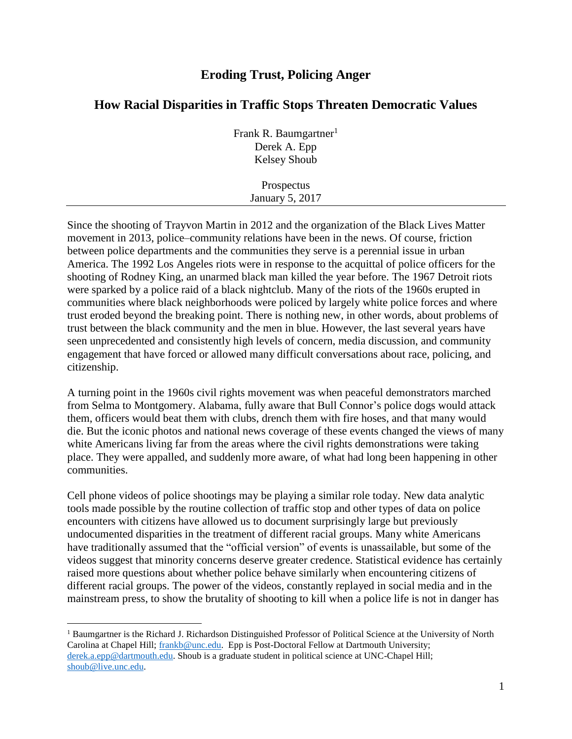### **Eroding Trust, Policing Anger**

#### **How Racial Disparities in Traffic Stops Threaten Democratic Values**

Frank R. Baumgartner<sup>1</sup> Derek A. Epp Kelsey Shoub

| Prospectus      |  |
|-----------------|--|
| January 5, 2017 |  |
|                 |  |

Since the shooting of Trayvon Martin in 2012 and the organization of the Black Lives Matter movement in 2013, police–community relations have been in the news. Of course, friction between police departments and the communities they serve is a perennial issue in urban America. The 1992 Los Angeles riots were in response to the acquittal of police officers for the shooting of Rodney King, an unarmed black man killed the year before. The 1967 Detroit riots were sparked by a police raid of a black nightclub. Many of the riots of the 1960s erupted in communities where black neighborhoods were policed by largely white police forces and where trust eroded beyond the breaking point. There is nothing new, in other words, about problems of trust between the black community and the men in blue. However, the last several years have seen unprecedented and consistently high levels of concern, media discussion, and community engagement that have forced or allowed many difficult conversations about race, policing, and citizenship.

A turning point in the 1960s civil rights movement was when peaceful demonstrators marched from Selma to Montgomery. Alabama, fully aware that Bull Connor's police dogs would attack them, officers would beat them with clubs, drench them with fire hoses, and that many would die. But the iconic photos and national news coverage of these events changed the views of many white Americans living far from the areas where the civil rights demonstrations were taking place. They were appalled, and suddenly more aware, of what had long been happening in other communities.

Cell phone videos of police shootings may be playing a similar role today. New data analytic tools made possible by the routine collection of traffic stop and other types of data on police encounters with citizens have allowed us to document surprisingly large but previously undocumented disparities in the treatment of different racial groups. Many white Americans have traditionally assumed that the "official version" of events is unassailable, but some of the videos suggest that minority concerns deserve greater credence. Statistical evidence has certainly raised more questions about whether police behave similarly when encountering citizens of different racial groups. The power of the videos, constantly replayed in social media and in the mainstream press, to show the brutality of shooting to kill when a police life is not in danger has

 $\overline{a}$ 

<sup>&</sup>lt;sup>1</sup> Baumgartner is the Richard J. Richardson Distinguished Professor of Political Science at the University of North Carolina at Chapel Hill; [frankb@unc.edu.](mailto:frankb@unc.edu) Epp is Post-Doctoral Fellow at Dartmouth University; [derek.a.epp@dartmouth.edu.](mailto:derek.a.epp@dartmouth.edu) Shoub is a graduate student in political science at UNC-Chapel Hill; [shoub@live.unc.edu.](mailto:shoub@live.unc.edu)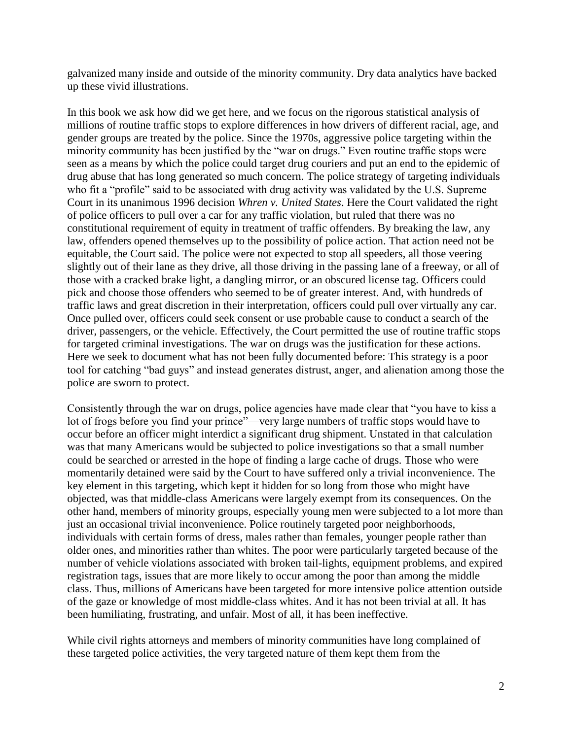galvanized many inside and outside of the minority community. Dry data analytics have backed up these vivid illustrations.

In this book we ask how did we get here, and we focus on the rigorous statistical analysis of millions of routine traffic stops to explore differences in how drivers of different racial, age, and gender groups are treated by the police. Since the 1970s, aggressive police targeting within the minority community has been justified by the "war on drugs." Even routine traffic stops were seen as a means by which the police could target drug couriers and put an end to the epidemic of drug abuse that has long generated so much concern. The police strategy of targeting individuals who fit a "profile" said to be associated with drug activity was validated by the U.S. Supreme Court in its unanimous 1996 decision *Whren v. United States*. Here the Court validated the right of police officers to pull over a car for any traffic violation, but ruled that there was no constitutional requirement of equity in treatment of traffic offenders. By breaking the law, any law, offenders opened themselves up to the possibility of police action. That action need not be equitable, the Court said. The police were not expected to stop all speeders, all those veering slightly out of their lane as they drive, all those driving in the passing lane of a freeway, or all of those with a cracked brake light, a dangling mirror, or an obscured license tag. Officers could pick and choose those offenders who seemed to be of greater interest. And, with hundreds of traffic laws and great discretion in their interpretation, officers could pull over virtually any car. Once pulled over, officers could seek consent or use probable cause to conduct a search of the driver, passengers, or the vehicle. Effectively, the Court permitted the use of routine traffic stops for targeted criminal investigations. The war on drugs was the justification for these actions. Here we seek to document what has not been fully documented before: This strategy is a poor tool for catching "bad guys" and instead generates distrust, anger, and alienation among those the police are sworn to protect.

Consistently through the war on drugs, police agencies have made clear that "you have to kiss a lot of frogs before you find your prince"—very large numbers of traffic stops would have to occur before an officer might interdict a significant drug shipment. Unstated in that calculation was that many Americans would be subjected to police investigations so that a small number could be searched or arrested in the hope of finding a large cache of drugs. Those who were momentarily detained were said by the Court to have suffered only a trivial inconvenience. The key element in this targeting, which kept it hidden for so long from those who might have objected, was that middle-class Americans were largely exempt from its consequences. On the other hand, members of minority groups, especially young men were subjected to a lot more than just an occasional trivial inconvenience. Police routinely targeted poor neighborhoods, individuals with certain forms of dress, males rather than females, younger people rather than older ones, and minorities rather than whites. The poor were particularly targeted because of the number of vehicle violations associated with broken tail-lights, equipment problems, and expired registration tags, issues that are more likely to occur among the poor than among the middle class. Thus, millions of Americans have been targeted for more intensive police attention outside of the gaze or knowledge of most middle-class whites. And it has not been trivial at all. It has been humiliating, frustrating, and unfair. Most of all, it has been ineffective.

While civil rights attorneys and members of minority communities have long complained of these targeted police activities, the very targeted nature of them kept them from the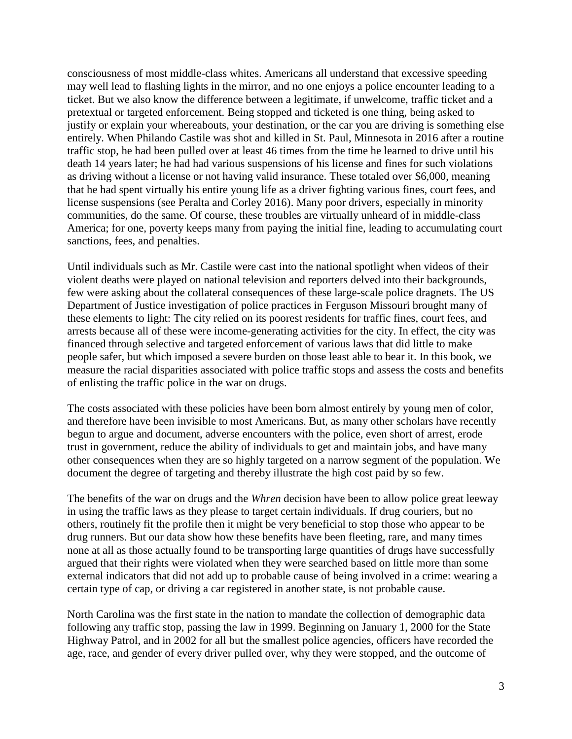consciousness of most middle-class whites. Americans all understand that excessive speeding may well lead to flashing lights in the mirror, and no one enjoys a police encounter leading to a ticket. But we also know the difference between a legitimate, if unwelcome, traffic ticket and a pretextual or targeted enforcement. Being stopped and ticketed is one thing, being asked to justify or explain your whereabouts, your destination, or the car you are driving is something else entirely. When Philando Castile was shot and killed in St. Paul, Minnesota in 2016 after a routine traffic stop, he had been pulled over at least 46 times from the time he learned to drive until his death 14 years later; he had had various suspensions of his license and fines for such violations as driving without a license or not having valid insurance. These totaled over \$6,000, meaning that he had spent virtually his entire young life as a driver fighting various fines, court fees, and license suspensions (see Peralta and Corley 2016). Many poor drivers, especially in minority communities, do the same. Of course, these troubles are virtually unheard of in middle-class America; for one, poverty keeps many from paying the initial fine, leading to accumulating court sanctions, fees, and penalties.

Until individuals such as Mr. Castile were cast into the national spotlight when videos of their violent deaths were played on national television and reporters delved into their backgrounds, few were asking about the collateral consequences of these large-scale police dragnets. The US Department of Justice investigation of police practices in Ferguson Missouri brought many of these elements to light: The city relied on its poorest residents for traffic fines, court fees, and arrests because all of these were income-generating activities for the city. In effect, the city was financed through selective and targeted enforcement of various laws that did little to make people safer, but which imposed a severe burden on those least able to bear it. In this book, we measure the racial disparities associated with police traffic stops and assess the costs and benefits of enlisting the traffic police in the war on drugs.

The costs associated with these policies have been born almost entirely by young men of color, and therefore have been invisible to most Americans. But, as many other scholars have recently begun to argue and document, adverse encounters with the police, even short of arrest, erode trust in government, reduce the ability of individuals to get and maintain jobs, and have many other consequences when they are so highly targeted on a narrow segment of the population. We document the degree of targeting and thereby illustrate the high cost paid by so few.

The benefits of the war on drugs and the *Whren* decision have been to allow police great leeway in using the traffic laws as they please to target certain individuals. If drug couriers, but no others, routinely fit the profile then it might be very beneficial to stop those who appear to be drug runners. But our data show how these benefits have been fleeting, rare, and many times none at all as those actually found to be transporting large quantities of drugs have successfully argued that their rights were violated when they were searched based on little more than some external indicators that did not add up to probable cause of being involved in a crime: wearing a certain type of cap, or driving a car registered in another state, is not probable cause.

North Carolina was the first state in the nation to mandate the collection of demographic data following any traffic stop, passing the law in 1999. Beginning on January 1, 2000 for the State Highway Patrol, and in 2002 for all but the smallest police agencies, officers have recorded the age, race, and gender of every driver pulled over, why they were stopped, and the outcome of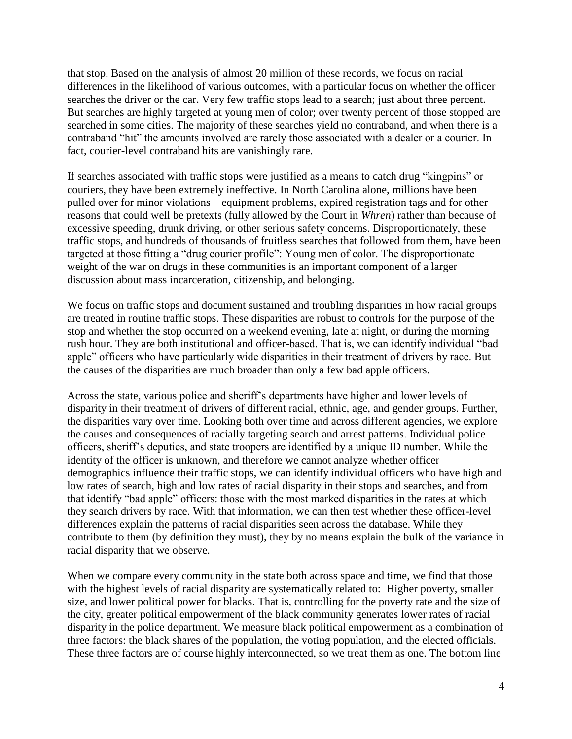that stop. Based on the analysis of almost 20 million of these records, we focus on racial differences in the likelihood of various outcomes, with a particular focus on whether the officer searches the driver or the car. Very few traffic stops lead to a search; just about three percent. But searches are highly targeted at young men of color; over twenty percent of those stopped are searched in some cities. The majority of these searches yield no contraband, and when there is a contraband "hit" the amounts involved are rarely those associated with a dealer or a courier. In fact, courier-level contraband hits are vanishingly rare.

If searches associated with traffic stops were justified as a means to catch drug "kingpins" or couriers, they have been extremely ineffective. In North Carolina alone, millions have been pulled over for minor violations—equipment problems, expired registration tags and for other reasons that could well be pretexts (fully allowed by the Court in *Whren*) rather than because of excessive speeding, drunk driving, or other serious safety concerns. Disproportionately, these traffic stops, and hundreds of thousands of fruitless searches that followed from them, have been targeted at those fitting a "drug courier profile": Young men of color. The disproportionate weight of the war on drugs in these communities is an important component of a larger discussion about mass incarceration, citizenship, and belonging.

We focus on traffic stops and document sustained and troubling disparities in how racial groups are treated in routine traffic stops. These disparities are robust to controls for the purpose of the stop and whether the stop occurred on a weekend evening, late at night, or during the morning rush hour. They are both institutional and officer-based. That is, we can identify individual "bad apple" officers who have particularly wide disparities in their treatment of drivers by race. But the causes of the disparities are much broader than only a few bad apple officers.

Across the state, various police and sheriff's departments have higher and lower levels of disparity in their treatment of drivers of different racial, ethnic, age, and gender groups. Further, the disparities vary over time. Looking both over time and across different agencies, we explore the causes and consequences of racially targeting search and arrest patterns. Individual police officers, sheriff's deputies, and state troopers are identified by a unique ID number. While the identity of the officer is unknown, and therefore we cannot analyze whether officer demographics influence their traffic stops, we can identify individual officers who have high and low rates of search, high and low rates of racial disparity in their stops and searches, and from that identify "bad apple" officers: those with the most marked disparities in the rates at which they search drivers by race. With that information, we can then test whether these officer-level differences explain the patterns of racial disparities seen across the database. While they contribute to them (by definition they must), they by no means explain the bulk of the variance in racial disparity that we observe.

When we compare every community in the state both across space and time, we find that those with the highest levels of racial disparity are systematically related to: Higher poverty, smaller size, and lower political power for blacks. That is, controlling for the poverty rate and the size of the city, greater political empowerment of the black community generates lower rates of racial disparity in the police department. We measure black political empowerment as a combination of three factors: the black shares of the population, the voting population, and the elected officials. These three factors are of course highly interconnected, so we treat them as one. The bottom line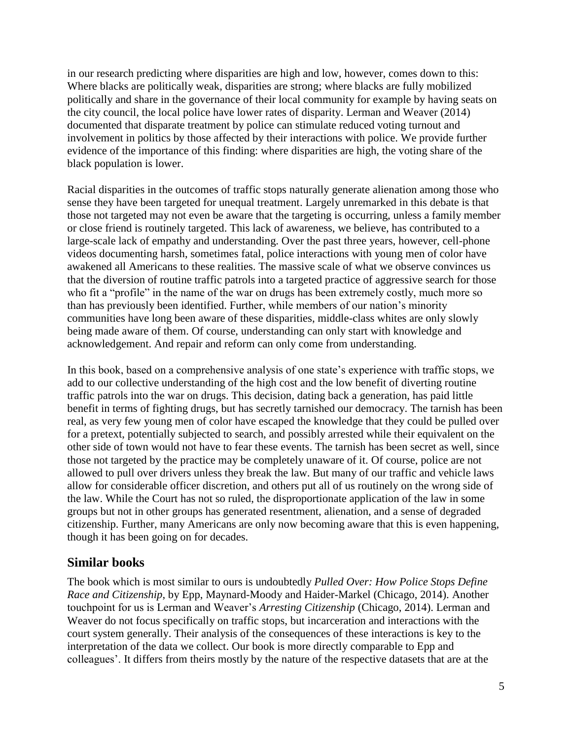in our research predicting where disparities are high and low, however, comes down to this: Where blacks are politically weak, disparities are strong; where blacks are fully mobilized politically and share in the governance of their local community for example by having seats on the city council, the local police have lower rates of disparity. Lerman and Weaver (2014) documented that disparate treatment by police can stimulate reduced voting turnout and involvement in politics by those affected by their interactions with police. We provide further evidence of the importance of this finding: where disparities are high, the voting share of the black population is lower.

Racial disparities in the outcomes of traffic stops naturally generate alienation among those who sense they have been targeted for unequal treatment. Largely unremarked in this debate is that those not targeted may not even be aware that the targeting is occurring, unless a family member or close friend is routinely targeted. This lack of awareness, we believe, has contributed to a large-scale lack of empathy and understanding. Over the past three years, however, cell-phone videos documenting harsh, sometimes fatal, police interactions with young men of color have awakened all Americans to these realities. The massive scale of what we observe convinces us that the diversion of routine traffic patrols into a targeted practice of aggressive search for those who fit a "profile" in the name of the war on drugs has been extremely costly, much more so than has previously been identified. Further, while members of our nation's minority communities have long been aware of these disparities, middle-class whites are only slowly being made aware of them. Of course, understanding can only start with knowledge and acknowledgement. And repair and reform can only come from understanding.

In this book, based on a comprehensive analysis of one state's experience with traffic stops, we add to our collective understanding of the high cost and the low benefit of diverting routine traffic patrols into the war on drugs. This decision, dating back a generation, has paid little benefit in terms of fighting drugs, but has secretly tarnished our democracy. The tarnish has been real, as very few young men of color have escaped the knowledge that they could be pulled over for a pretext, potentially subjected to search, and possibly arrested while their equivalent on the other side of town would not have to fear these events. The tarnish has been secret as well, since those not targeted by the practice may be completely unaware of it. Of course, police are not allowed to pull over drivers unless they break the law. But many of our traffic and vehicle laws allow for considerable officer discretion, and others put all of us routinely on the wrong side of the law. While the Court has not so ruled, the disproportionate application of the law in some groups but not in other groups has generated resentment, alienation, and a sense of degraded citizenship. Further, many Americans are only now becoming aware that this is even happening, though it has been going on for decades.

#### **Similar books**

The book which is most similar to ours is undoubtedly *Pulled Over: How Police Stops Define Race and Citizenship*, by Epp, Maynard-Moody and Haider-Markel (Chicago, 2014). Another touchpoint for us is Lerman and Weaver's *Arresting Citizenship* (Chicago, 2014). Lerman and Weaver do not focus specifically on traffic stops, but incarceration and interactions with the court system generally. Their analysis of the consequences of these interactions is key to the interpretation of the data we collect. Our book is more directly comparable to Epp and colleagues'. It differs from theirs mostly by the nature of the respective datasets that are at the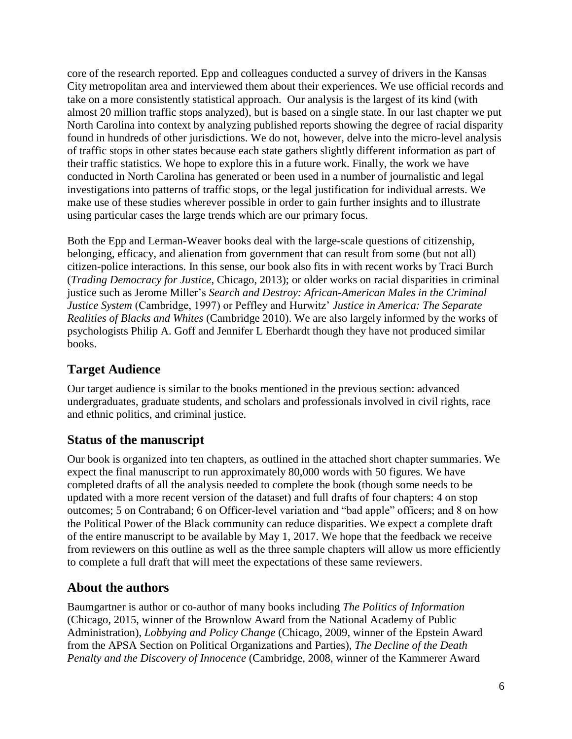core of the research reported. Epp and colleagues conducted a survey of drivers in the Kansas City metropolitan area and interviewed them about their experiences. We use official records and take on a more consistently statistical approach. Our analysis is the largest of its kind (with almost 20 million traffic stops analyzed), but is based on a single state. In our last chapter we put North Carolina into context by analyzing published reports showing the degree of racial disparity found in hundreds of other jurisdictions. We do not, however, delve into the micro-level analysis of traffic stops in other states because each state gathers slightly different information as part of their traffic statistics. We hope to explore this in a future work. Finally, the work we have conducted in North Carolina has generated or been used in a number of journalistic and legal investigations into patterns of traffic stops, or the legal justification for individual arrests. We make use of these studies wherever possible in order to gain further insights and to illustrate using particular cases the large trends which are our primary focus.

Both the Epp and Lerman-Weaver books deal with the large-scale questions of citizenship, belonging, efficacy, and alienation from government that can result from some (but not all) citizen-police interactions. In this sense, our book also fits in with recent works by Traci Burch (*Trading Democracy for Justice*, Chicago, 2013); or older works on racial disparities in criminal justice such as Jerome Miller's *Search and Destroy: African-American Males in the Criminal Justice System* (Cambridge, 1997) or Peffley and Hurwitz' *Justice in America: The Separate Realities of Blacks and Whites* (Cambridge 2010). We are also largely informed by the works of psychologists Philip A. Goff and Jennifer L Eberhardt though they have not produced similar books.

# **Target Audience**

Our target audience is similar to the books mentioned in the previous section: advanced undergraduates, graduate students, and scholars and professionals involved in civil rights, race and ethnic politics, and criminal justice.

## **Status of the manuscript**

Our book is organized into ten chapters, as outlined in the attached short chapter summaries. We expect the final manuscript to run approximately 80,000 words with 50 figures. We have completed drafts of all the analysis needed to complete the book (though some needs to be updated with a more recent version of the dataset) and full drafts of four chapters: 4 on stop outcomes; 5 on Contraband; 6 on Officer-level variation and "bad apple" officers; and 8 on how the Political Power of the Black community can reduce disparities. We expect a complete draft of the entire manuscript to be available by May 1, 2017. We hope that the feedback we receive from reviewers on this outline as well as the three sample chapters will allow us more efficiently to complete a full draft that will meet the expectations of these same reviewers.

## **About the authors**

Baumgartner is author or co-author of many books including *The Politics of Information*  (Chicago, 2015, winner of the Brownlow Award from the National Academy of Public Administration), *Lobbying and Policy Change* (Chicago, 2009, winner of the Epstein Award from the APSA Section on Political Organizations and Parties), *The Decline of the Death Penalty and the Discovery of Innocence* (Cambridge, 2008, winner of the Kammerer Award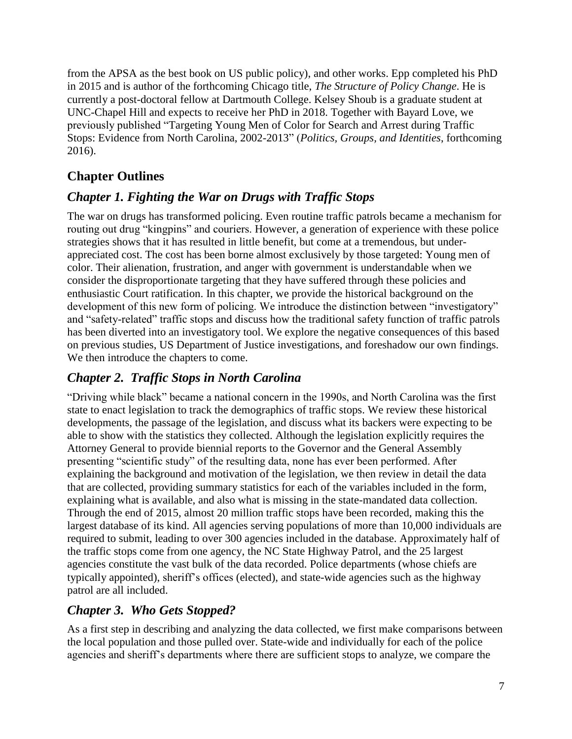from the APSA as the best book on US public policy), and other works. Epp completed his PhD in 2015 and is author of the forthcoming Chicago title, *The Structure of Policy Change*. He is currently a post-doctoral fellow at Dartmouth College. Kelsey Shoub is a graduate student at UNC-Chapel Hill and expects to receive her PhD in 2018. Together with Bayard Love, we previously published "Targeting Young Men of Color for Search and Arrest during Traffic Stops: Evidence from North Carolina, 2002-2013" (*Politics, Groups, and Identities*, forthcoming 2016).

# **Chapter Outlines**

# *Chapter 1. Fighting the War on Drugs with Traffic Stops*

The war on drugs has transformed policing. Even routine traffic patrols became a mechanism for routing out drug "kingpins" and couriers. However, a generation of experience with these police strategies shows that it has resulted in little benefit, but come at a tremendous, but underappreciated cost. The cost has been borne almost exclusively by those targeted: Young men of color. Their alienation, frustration, and anger with government is understandable when we consider the disproportionate targeting that they have suffered through these policies and enthusiastic Court ratification. In this chapter, we provide the historical background on the development of this new form of policing. We introduce the distinction between "investigatory" and "safety-related" traffic stops and discuss how the traditional safety function of traffic patrols has been diverted into an investigatory tool. We explore the negative consequences of this based on previous studies, US Department of Justice investigations, and foreshadow our own findings. We then introduce the chapters to come.

## *Chapter 2. Traffic Stops in North Carolina*

"Driving while black" became a national concern in the 1990s, and North Carolina was the first state to enact legislation to track the demographics of traffic stops. We review these historical developments, the passage of the legislation, and discuss what its backers were expecting to be able to show with the statistics they collected. Although the legislation explicitly requires the Attorney General to provide biennial reports to the Governor and the General Assembly presenting "scientific study" of the resulting data, none has ever been performed. After explaining the background and motivation of the legislation, we then review in detail the data that are collected, providing summary statistics for each of the variables included in the form, explaining what is available, and also what is missing in the state-mandated data collection. Through the end of 2015, almost 20 million traffic stops have been recorded, making this the largest database of its kind. All agencies serving populations of more than 10,000 individuals are required to submit, leading to over 300 agencies included in the database. Approximately half of the traffic stops come from one agency, the NC State Highway Patrol, and the 25 largest agencies constitute the vast bulk of the data recorded. Police departments (whose chiefs are typically appointed), sheriff's offices (elected), and state-wide agencies such as the highway patrol are all included.

# *Chapter 3. Who Gets Stopped?*

As a first step in describing and analyzing the data collected, we first make comparisons between the local population and those pulled over. State-wide and individually for each of the police agencies and sheriff's departments where there are sufficient stops to analyze, we compare the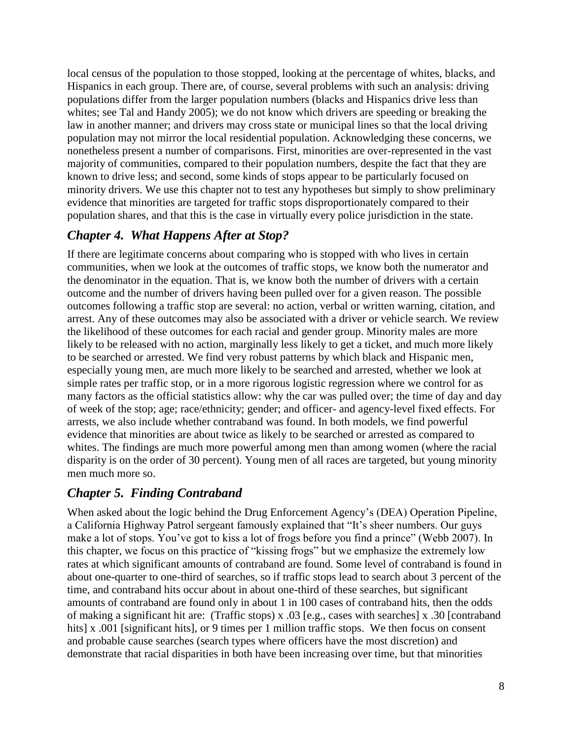local census of the population to those stopped, looking at the percentage of whites, blacks, and Hispanics in each group. There are, of course, several problems with such an analysis: driving populations differ from the larger population numbers (blacks and Hispanics drive less than whites; see Tal and Handy 2005); we do not know which drivers are speeding or breaking the law in another manner; and drivers may cross state or municipal lines so that the local driving population may not mirror the local residential population. Acknowledging these concerns, we nonetheless present a number of comparisons. First, minorities are over-represented in the vast majority of communities, compared to their population numbers, despite the fact that they are known to drive less; and second, some kinds of stops appear to be particularly focused on minority drivers. We use this chapter not to test any hypotheses but simply to show preliminary evidence that minorities are targeted for traffic stops disproportionately compared to their population shares, and that this is the case in virtually every police jurisdiction in the state.

# *Chapter 4. What Happens After at Stop?*

If there are legitimate concerns about comparing who is stopped with who lives in certain communities, when we look at the outcomes of traffic stops, we know both the numerator and the denominator in the equation. That is, we know both the number of drivers with a certain outcome and the number of drivers having been pulled over for a given reason. The possible outcomes following a traffic stop are several: no action, verbal or written warning, citation, and arrest. Any of these outcomes may also be associated with a driver or vehicle search. We review the likelihood of these outcomes for each racial and gender group. Minority males are more likely to be released with no action, marginally less likely to get a ticket, and much more likely to be searched or arrested. We find very robust patterns by which black and Hispanic men, especially young men, are much more likely to be searched and arrested, whether we look at simple rates per traffic stop, or in a more rigorous logistic regression where we control for as many factors as the official statistics allow: why the car was pulled over; the time of day and day of week of the stop; age; race/ethnicity; gender; and officer- and agency-level fixed effects. For arrests, we also include whether contraband was found. In both models, we find powerful evidence that minorities are about twice as likely to be searched or arrested as compared to whites. The findings are much more powerful among men than among women (where the racial disparity is on the order of 30 percent). Young men of all races are targeted, but young minority men much more so.

## *Chapter 5. Finding Contraband*

When asked about the logic behind the Drug Enforcement Agency's (DEA) Operation Pipeline, a California Highway Patrol sergeant famously explained that "It's sheer numbers. Our guys make a lot of stops. You've got to kiss a lot of frogs before you find a prince" (Webb 2007). In this chapter, we focus on this practice of "kissing frogs" but we emphasize the extremely low rates at which significant amounts of contraband are found. Some level of contraband is found in about one-quarter to one-third of searches, so if traffic stops lead to search about 3 percent of the time, and contraband hits occur about in about one-third of these searches, but significant amounts of contraband are found only in about 1 in 100 cases of contraband hits, then the odds of making a significant hit are: (Traffic stops) x .03 [e.g., cases with searches] x .30 [contraband hits] x .001 [significant hits], or 9 times per 1 million traffic stops. We then focus on consent and probable cause searches (search types where officers have the most discretion) and demonstrate that racial disparities in both have been increasing over time, but that minorities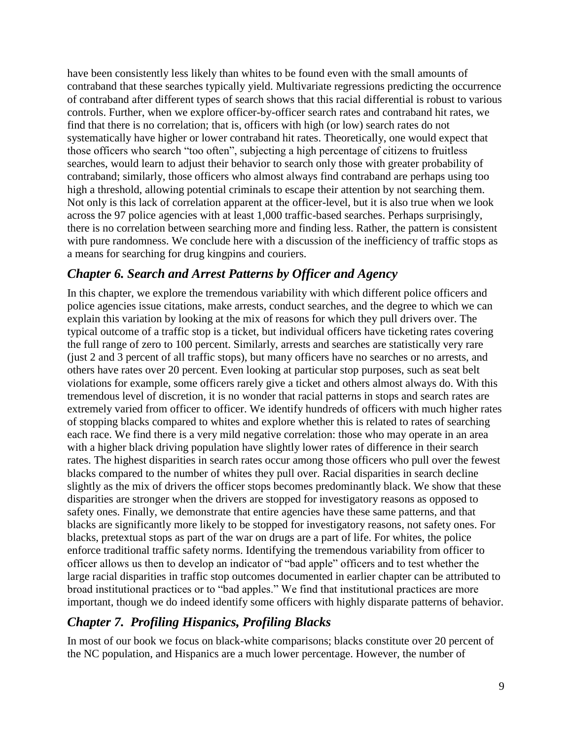have been consistently less likely than whites to be found even with the small amounts of contraband that these searches typically yield. Multivariate regressions predicting the occurrence of contraband after different types of search shows that this racial differential is robust to various controls. Further, when we explore officer-by-officer search rates and contraband hit rates, we find that there is no correlation; that is, officers with high (or low) search rates do not systematically have higher or lower contraband hit rates. Theoretically, one would expect that those officers who search "too often", subjecting a high percentage of citizens to fruitless searches, would learn to adjust their behavior to search only those with greater probability of contraband; similarly, those officers who almost always find contraband are perhaps using too high a threshold, allowing potential criminals to escape their attention by not searching them. Not only is this lack of correlation apparent at the officer-level, but it is also true when we look across the 97 police agencies with at least 1,000 traffic-based searches. Perhaps surprisingly, there is no correlation between searching more and finding less. Rather, the pattern is consistent with pure randomness. We conclude here with a discussion of the inefficiency of traffic stops as a means for searching for drug kingpins and couriers.

## *Chapter 6. Search and Arrest Patterns by Officer and Agency*

In this chapter, we explore the tremendous variability with which different police officers and police agencies issue citations, make arrests, conduct searches, and the degree to which we can explain this variation by looking at the mix of reasons for which they pull drivers over. The typical outcome of a traffic stop is a ticket, but individual officers have ticketing rates covering the full range of zero to 100 percent. Similarly, arrests and searches are statistically very rare (just 2 and 3 percent of all traffic stops), but many officers have no searches or no arrests, and others have rates over 20 percent. Even looking at particular stop purposes, such as seat belt violations for example, some officers rarely give a ticket and others almost always do. With this tremendous level of discretion, it is no wonder that racial patterns in stops and search rates are extremely varied from officer to officer. We identify hundreds of officers with much higher rates of stopping blacks compared to whites and explore whether this is related to rates of searching each race. We find there is a very mild negative correlation: those who may operate in an area with a higher black driving population have slightly lower rates of difference in their search rates. The highest disparities in search rates occur among those officers who pull over the fewest blacks compared to the number of whites they pull over. Racial disparities in search decline slightly as the mix of drivers the officer stops becomes predominantly black. We show that these disparities are stronger when the drivers are stopped for investigatory reasons as opposed to safety ones. Finally, we demonstrate that entire agencies have these same patterns, and that blacks are significantly more likely to be stopped for investigatory reasons, not safety ones. For blacks, pretextual stops as part of the war on drugs are a part of life. For whites, the police enforce traditional traffic safety norms. Identifying the tremendous variability from officer to officer allows us then to develop an indicator of "bad apple" officers and to test whether the large racial disparities in traffic stop outcomes documented in earlier chapter can be attributed to broad institutional practices or to "bad apples." We find that institutional practices are more important, though we do indeed identify some officers with highly disparate patterns of behavior.

### *Chapter 7. Profiling Hispanics, Profiling Blacks*

In most of our book we focus on black-white comparisons; blacks constitute over 20 percent of the NC population, and Hispanics are a much lower percentage. However, the number of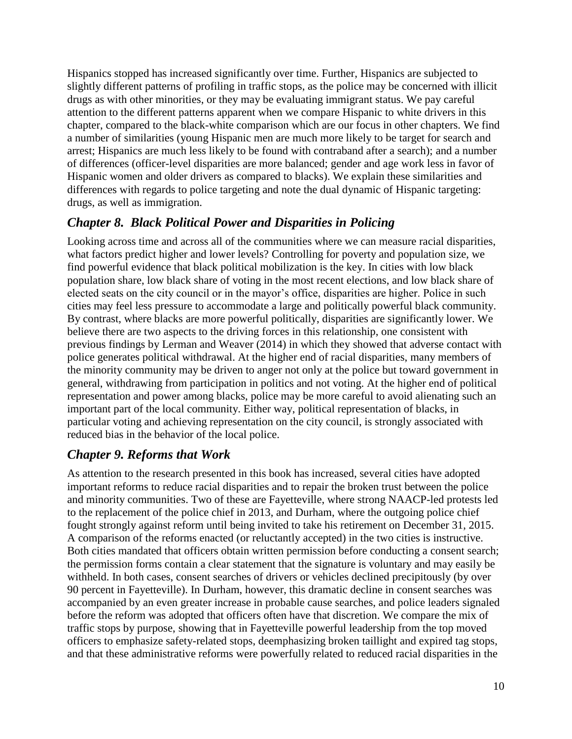Hispanics stopped has increased significantly over time. Further, Hispanics are subjected to slightly different patterns of profiling in traffic stops, as the police may be concerned with illicit drugs as with other minorities, or they may be evaluating immigrant status. We pay careful attention to the different patterns apparent when we compare Hispanic to white drivers in this chapter, compared to the black-white comparison which are our focus in other chapters. We find a number of similarities (young Hispanic men are much more likely to be target for search and arrest; Hispanics are much less likely to be found with contraband after a search); and a number of differences (officer-level disparities are more balanced; gender and age work less in favor of Hispanic women and older drivers as compared to blacks). We explain these similarities and differences with regards to police targeting and note the dual dynamic of Hispanic targeting: drugs, as well as immigration.

### *Chapter 8. Black Political Power and Disparities in Policing*

Looking across time and across all of the communities where we can measure racial disparities, what factors predict higher and lower levels? Controlling for poverty and population size, we find powerful evidence that black political mobilization is the key. In cities with low black population share, low black share of voting in the most recent elections, and low black share of elected seats on the city council or in the mayor's office, disparities are higher. Police in such cities may feel less pressure to accommodate a large and politically powerful black community. By contrast, where blacks are more powerful politically, disparities are significantly lower. We believe there are two aspects to the driving forces in this relationship, one consistent with previous findings by Lerman and Weaver (2014) in which they showed that adverse contact with police generates political withdrawal. At the higher end of racial disparities, many members of the minority community may be driven to anger not only at the police but toward government in general, withdrawing from participation in politics and not voting. At the higher end of political representation and power among blacks, police may be more careful to avoid alienating such an important part of the local community. Either way, political representation of blacks, in particular voting and achieving representation on the city council, is strongly associated with reduced bias in the behavior of the local police.

### *Chapter 9. Reforms that Work*

As attention to the research presented in this book has increased, several cities have adopted important reforms to reduce racial disparities and to repair the broken trust between the police and minority communities. Two of these are Fayetteville, where strong NAACP-led protests led to the replacement of the police chief in 2013, and Durham, where the outgoing police chief fought strongly against reform until being invited to take his retirement on December 31, 2015. A comparison of the reforms enacted (or reluctantly accepted) in the two cities is instructive. Both cities mandated that officers obtain written permission before conducting a consent search; the permission forms contain a clear statement that the signature is voluntary and may easily be withheld. In both cases, consent searches of drivers or vehicles declined precipitously (by over 90 percent in Fayetteville). In Durham, however, this dramatic decline in consent searches was accompanied by an even greater increase in probable cause searches, and police leaders signaled before the reform was adopted that officers often have that discretion. We compare the mix of traffic stops by purpose, showing that in Fayetteville powerful leadership from the top moved officers to emphasize safety-related stops, deemphasizing broken taillight and expired tag stops, and that these administrative reforms were powerfully related to reduced racial disparities in the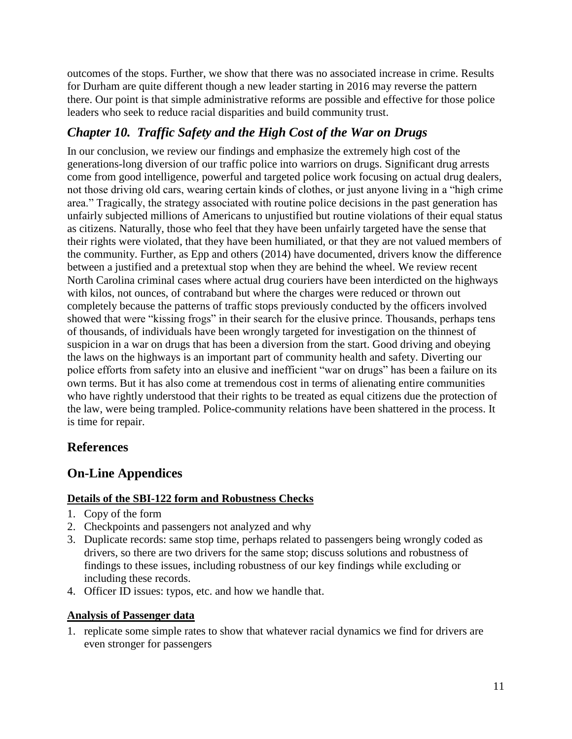outcomes of the stops. Further, we show that there was no associated increase in crime. Results for Durham are quite different though a new leader starting in 2016 may reverse the pattern there. Our point is that simple administrative reforms are possible and effective for those police leaders who seek to reduce racial disparities and build community trust.

# *Chapter 10. Traffic Safety and the High Cost of the War on Drugs*

In our conclusion, we review our findings and emphasize the extremely high cost of the generations-long diversion of our traffic police into warriors on drugs. Significant drug arrests come from good intelligence, powerful and targeted police work focusing on actual drug dealers, not those driving old cars, wearing certain kinds of clothes, or just anyone living in a "high crime area." Tragically, the strategy associated with routine police decisions in the past generation has unfairly subjected millions of Americans to unjustified but routine violations of their equal status as citizens. Naturally, those who feel that they have been unfairly targeted have the sense that their rights were violated, that they have been humiliated, or that they are not valued members of the community. Further, as Epp and others (2014) have documented, drivers know the difference between a justified and a pretextual stop when they are behind the wheel. We review recent North Carolina criminal cases where actual drug couriers have been interdicted on the highways with kilos, not ounces, of contraband but where the charges were reduced or thrown out completely because the patterns of traffic stops previously conducted by the officers involved showed that were "kissing frogs" in their search for the elusive prince. Thousands, perhaps tens of thousands, of individuals have been wrongly targeted for investigation on the thinnest of suspicion in a war on drugs that has been a diversion from the start. Good driving and obeying the laws on the highways is an important part of community health and safety. Diverting our police efforts from safety into an elusive and inefficient "war on drugs" has been a failure on its own terms. But it has also come at tremendous cost in terms of alienating entire communities who have rightly understood that their rights to be treated as equal citizens due the protection of the law, were being trampled. Police-community relations have been shattered in the process. It is time for repair.

### **References**

## **On-Line Appendices**

#### **Details of the SBI-122 form and Robustness Checks**

- 1. Copy of the form
- 2. Checkpoints and passengers not analyzed and why
- 3. Duplicate records: same stop time, perhaps related to passengers being wrongly coded as drivers, so there are two drivers for the same stop; discuss solutions and robustness of findings to these issues, including robustness of our key findings while excluding or including these records.
- 4. Officer ID issues: typos, etc. and how we handle that.

#### **Analysis of Passenger data**

1. replicate some simple rates to show that whatever racial dynamics we find for drivers are even stronger for passengers